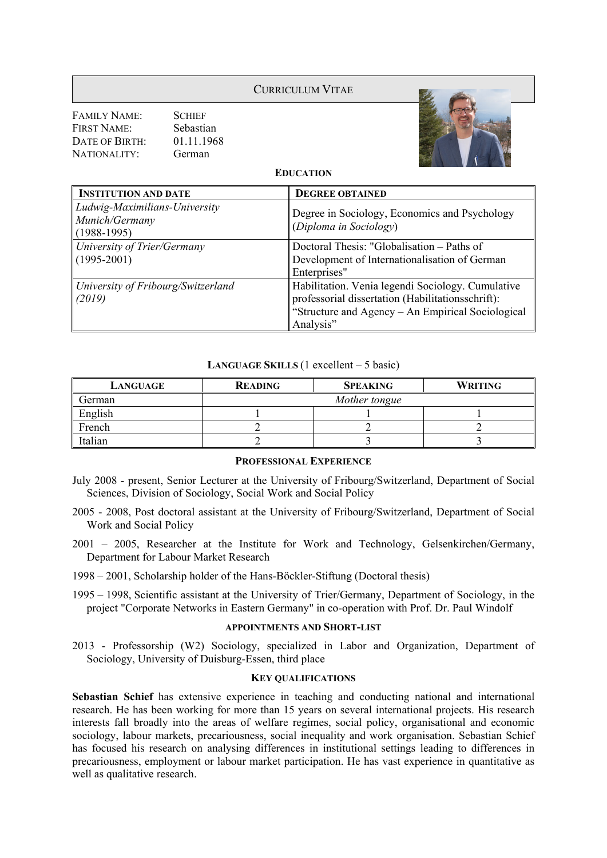## CURRICULUM VITAE

FAMILY NAME: SCHIEF FIRST NAME: Sebastian DATE OF BIRTH: 01.11.1968 NATIONALITY: German



**EDUCATION**

| <b>INSTITUTION AND DATE</b>                                      | <b>DEGREE OBTAINED</b>                                                                                                                                                   |  |
|------------------------------------------------------------------|--------------------------------------------------------------------------------------------------------------------------------------------------------------------------|--|
| Ludwig-Maximilians-University<br>Munich/Germany<br>$(1988-1995)$ | Degree in Sociology, Economics and Psychology<br>(Diploma in Sociology)                                                                                                  |  |
| University of Trier/Germany<br>$(1995 - 2001)$                   | Doctoral Thesis: "Globalisation – Paths of<br>Development of Internationalisation of German<br>Enterprises"                                                              |  |
| University of Fribourg/Switzerland<br>(2019)                     | Habilitation. Venia legendi Sociology. Cumulative<br>professorial dissertation (Habilitationsschrift):<br>"Structure and Agency - An Empirical Sociological<br>Analysis" |  |

#### **LANGUAGE SKILLS** (1 excellent – 5 basic)

| LANGUAGE | <b>READING</b> | <b>SPEAKING</b> | <b>WRITING</b> |
|----------|----------------|-----------------|----------------|
| German   | Mother tongue  |                 |                |
| English  |                |                 |                |
| French   |                |                 |                |
| Italian  |                |                 |                |

### **PROFESSIONAL EXPERIENCE**

- July 2008 present, Senior Lecturer at the University of Fribourg/Switzerland, Department of Social Sciences, Division of Sociology, Social Work and Social Policy
- 2005 2008, Post doctoral assistant at the University of Fribourg/Switzerland, Department of Social Work and Social Policy
- 2001 2005, Researcher at the Institute for Work and Technology, Gelsenkirchen/Germany, Department for Labour Market Research
- 1998 2001, Scholarship holder of the Hans-Böckler-Stiftung (Doctoral thesis)
- 1995 1998, Scientific assistant at the University of Trier/Germany, Department of Sociology, in the project "Corporate Networks in Eastern Germany" in co-operation with Prof. Dr. Paul Windolf

#### **APPOINTMENTS AND SHORT-LIST**

2013 - Professorship (W2) Sociology, specialized in Labor and Organization, Department of Sociology, University of Duisburg-Essen, third place

#### **KEY QUALIFICATIONS**

**Sebastian Schief** has extensive experience in teaching and conducting national and international research. He has been working for more than 15 years on several international projects. His research interests fall broadly into the areas of welfare regimes, social policy, organisational and economic sociology, labour markets, precariousness, social inequality and work organisation. Sebastian Schief has focused his research on analysing differences in institutional settings leading to differences in precariousness, employment or labour market participation. He has vast experience in quantitative as well as qualitative research.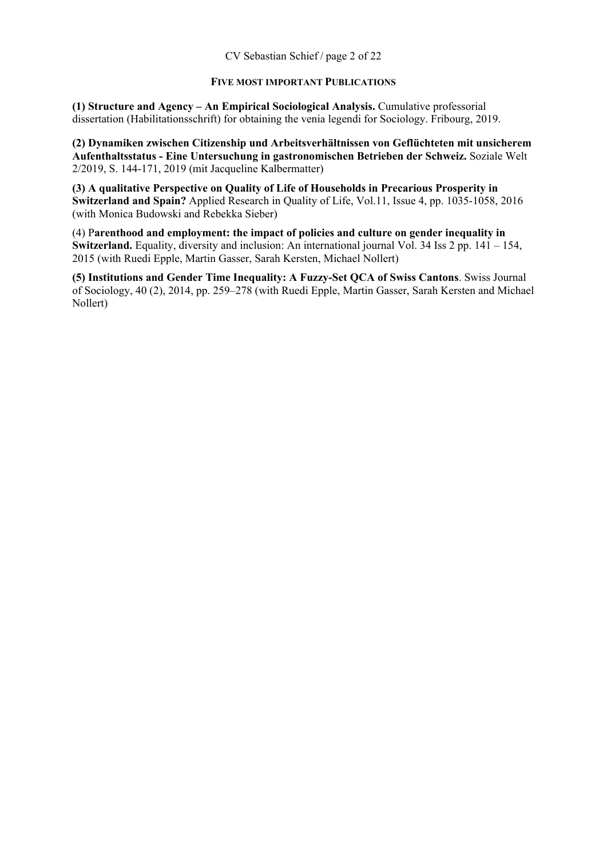#### **FIVE MOST IMPORTANT PUBLICATIONS**

**(1) Structure and Agency – An Empirical Sociological Analysis.** Cumulative professorial dissertation (Habilitationsschrift) for obtaining the venia legendi for Sociology. Fribourg, 2019.

**(2) Dynamiken zwischen Citizenship und Arbeitsverhältnissen von Geflüchteten mit unsicherem Aufenthaltsstatus - Eine Untersuchung in gastronomischen Betrieben der Schweiz.** Soziale Welt 2/2019, S. 144-171, 2019 (mit Jacqueline Kalbermatter)

**(3) A qualitative Perspective on Quality of Life of Households in Precarious Prosperity in Switzerland and Spain?** Applied Research in Quality of Life, Vol.11, Issue 4, pp. 1035-1058, 2016 (with Monica Budowski and Rebekka Sieber)

(4) P**arenthood and employment: the impact of policies and culture on gender inequality in Switzerland.** Equality, diversity and inclusion: An international journal Vol. 34 Iss 2 pp. 141 – 154, 2015 (with Ruedi Epple, Martin Gasser, Sarah Kersten, Michael Nollert)

**(5) Institutions and Gender Time Inequality: A Fuzzy-Set QCA of Swiss Cantons**. Swiss Journal of Sociology, 40 (2), 2014, pp. 259–278 (with Ruedi Epple, Martin Gasser, Sarah Kersten and Michael Nollert)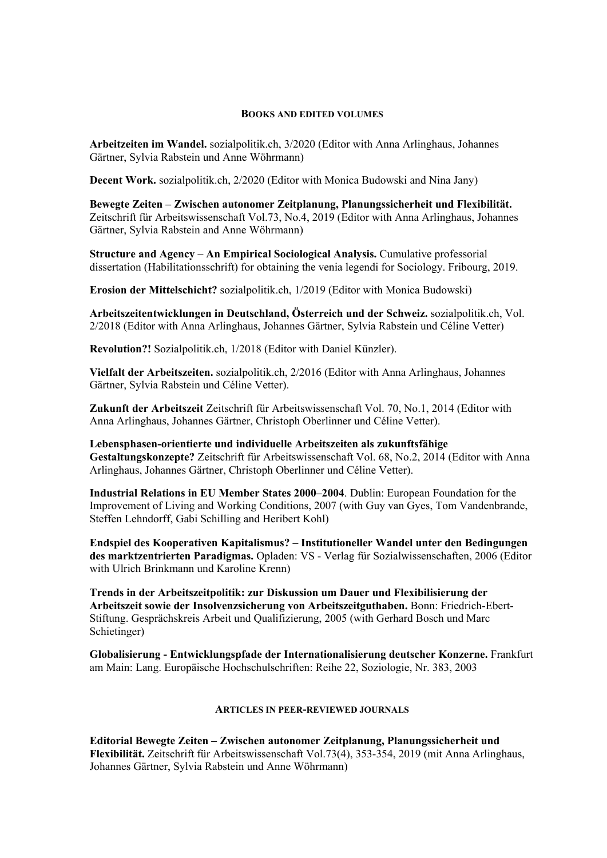#### **BOOKS AND EDITED VOLUMES**

**Arbeitzeiten im Wandel.** sozialpolitik.ch, 3/2020 (Editor with Anna Arlinghaus, Johannes Gärtner, Sylvia Rabstein und Anne Wöhrmann)

**Decent Work.** sozialpolitik.ch, 2/2020 (Editor with Monica Budowski and Nina Jany)

**Bewegte Zeiten – Zwischen autonomer Zeitplanung, Planungssicherheit und Flexibilität.**  Zeitschrift für Arbeitswissenschaft Vol.73, No.4, 2019 (Editor with Anna Arlinghaus, Johannes Gärtner, Sylvia Rabstein and Anne Wöhrmann)

**Structure and Agency – An Empirical Sociological Analysis.** Cumulative professorial dissertation (Habilitationsschrift) for obtaining the venia legendi for Sociology. Fribourg, 2019.

**Erosion der Mittelschicht?** sozialpolitik.ch, 1/2019 (Editor with Monica Budowski)

**Arbeitszeitentwicklungen in Deutschland, Österreich und der Schweiz.** sozialpolitik.ch, Vol. 2/2018 (Editor with Anna Arlinghaus, Johannes Gärtner, Sylvia Rabstein und Céline Vetter)

**Revolution?!** Sozialpolitik.ch, 1/2018 (Editor with Daniel Künzler).

**Vielfalt der Arbeitszeiten.** sozialpolitik.ch, 2/2016 (Editor with Anna Arlinghaus, Johannes Gärtner, Sylvia Rabstein und Céline Vetter).

**Zukunft der Arbeitszeit** Zeitschrift für Arbeitswissenschaft Vol. 70, No.1, 2014 (Editor with Anna Arlinghaus, Johannes Gärtner, Christoph Oberlinner und Céline Vetter).

**Lebensphasen-orientierte und individuelle Arbeitszeiten als zukunftsfähige Gestaltungskonzepte?** Zeitschrift für Arbeitswissenschaft Vol. 68, No.2, 2014 (Editor with Anna Arlinghaus, Johannes Gärtner, Christoph Oberlinner und Céline Vetter).

**Industrial Relations in EU Member States 2000–2004**. Dublin: European Foundation for the Improvement of Living and Working Conditions, 2007 (with Guy van Gyes, Tom Vandenbrande, Steffen Lehndorff, Gabi Schilling and Heribert Kohl)

**Endspiel des Kooperativen Kapitalismus? – Institutioneller Wandel unter den Bedingungen des marktzentrierten Paradigmas.** Opladen: VS - Verlag für Sozialwissenschaften, 2006 (Editor with Ulrich Brinkmann und Karoline Krenn)

**Trends in der Arbeitszeitpolitik: zur Diskussion um Dauer und Flexibilisierung der Arbeitszeit sowie der Insolvenzsicherung von Arbeitszeitguthaben.** Bonn: Friedrich-Ebert-Stiftung. Gesprächskreis Arbeit und Qualifizierung, 2005 (with Gerhard Bosch und Marc Schietinger)

**Globalisierung - Entwicklungspfade der Internationalisierung deutscher Konzerne.** Frankfurt am Main: Lang. Europäische Hochschulschriften: Reihe 22, Soziologie, Nr. 383, 2003

#### **ARTICLES IN PEER-REVIEWED JOURNALS**

**Editorial Bewegte Zeiten – Zwischen autonomer Zeitplanung, Planungssicherheit und Flexibilität.** Zeitschrift für Arbeitswissenschaft Vol.73(4), 353-354, 2019 (mit Anna Arlinghaus, Johannes Gärtner, Sylvia Rabstein und Anne Wöhrmann)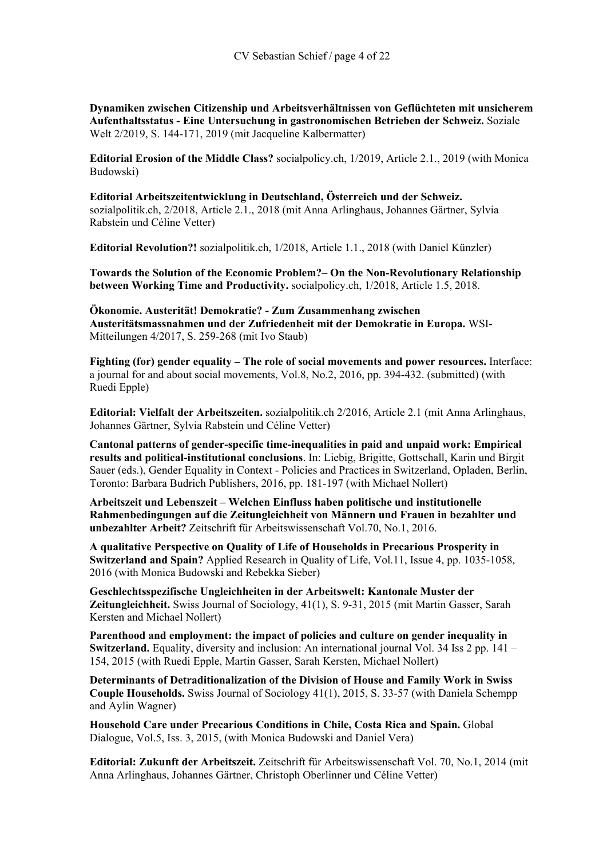**Dynamiken zwischen Citizenship und Arbeitsverhältnissen von Geflüchteten mit unsicherem Aufenthaltsstatus - Eine Untersuchung in gastronomischen Betrieben der Schweiz.** Soziale Welt 2/2019, S. 144-171, 2019 (mit Jacqueline Kalbermatter)

**Editorial Erosion of the Middle Class?** socialpolicy.ch, 1/2019, Article 2.1., 2019 (with Monica Budowski)

**Editorial Arbeitszeitentwicklung in Deutschland, Österreich und der Schweiz.** sozialpolitik.ch, 2/2018, Article 2.1., 2018 (mit Anna Arlinghaus, Johannes Gärtner, Sylvia Rabstein und Céline Vetter)

**Editorial Revolution?!** sozialpolitik.ch, 1/2018, Article 1.1., 2018 (with Daniel Künzler)

**Towards the Solution of the Economic Problem?– On the Non-Revolutionary Relationship between Working Time and Productivity.** socialpolicy.ch, 1/2018, Article 1.5, 2018.

**Ökonomie. Austerität! Demokratie? - Zum Zusammenhang zwischen Austeritätsmassnahmen und der Zufriedenheit mit der Demokratie in Europa.** WSI-Mitteilungen 4/2017, S. 259-268 (mit Ivo Staub)

**Fighting (for) gender equality – The role of social movements and power resources.** Interface: a journal for and about social movements, Vol.8, No.2, 2016, pp. 394-432. (submitted) (with Ruedi Epple)

**Editorial: Vielfalt der Arbeitszeiten.** sozialpolitik.ch 2/2016, Article 2.1 (mit Anna Arlinghaus, Johannes Gärtner, Sylvia Rabstein und Céline Vetter)

**Cantonal patterns of gender-specific time-inequalities in paid and unpaid work: Empirical results and political-institutional conclusions**. In: Liebig, Brigitte, Gottschall, Karin und Birgit Sauer (eds.), Gender Equality in Context - Policies and Practices in Switzerland, Opladen, Berlin, Toronto: Barbara Budrich Publishers, 2016, pp. 181-197 (with Michael Nollert)

**Arbeitszeit und Lebenszeit – Welchen Einfluss haben politische und institutionelle Rahmenbedingungen auf die Zeitungleichheit von Männern und Frauen in bezahlter und unbezahlter Arbeit?** Zeitschrift für Arbeitswissenschaft Vol.70, No.1, 2016.

**A qualitative Perspective on Quality of Life of Households in Precarious Prosperity in Switzerland and Spain?** Applied Research in Quality of Life, Vol.11, Issue 4, pp. 1035-1058, 2016 (with Monica Budowski and Rebekka Sieber)

**Geschlechtsspezifische Ungleichheiten in der Arbeitswelt: Kantonale Muster der Zeitungleichheit.** Swiss Journal of Sociology, 41(1), S. 9-31, 2015 (mit Martin Gasser, Sarah Kersten and Michael Nollert)

**Parenthood and employment: the impact of policies and culture on gender inequality in Switzerland.** Equality, diversity and inclusion: An international journal Vol. 34 Iss 2 pp. 141 – 154, 2015 (with Ruedi Epple, Martin Gasser, Sarah Kersten, Michael Nollert)

**Determinants of Detraditionalization of the Division of House and Family Work in Swiss Couple Households.** Swiss Journal of Sociology 41(1), 2015, S. 33-57 (with Daniela Schempp and Aylin Wagner)

**Household Care under Precarious Conditions in Chile, Costa Rica and Spain.** Global Dialogue, Vol.5, Iss. 3, 2015, (with Monica Budowski and Daniel Vera)

**Editorial: Zukunft der Arbeitszeit.** Zeitschrift für Arbeitswissenschaft Vol. 70, No.1, 2014 (mit Anna Arlinghaus, Johannes Gärtner, Christoph Oberlinner und Céline Vetter)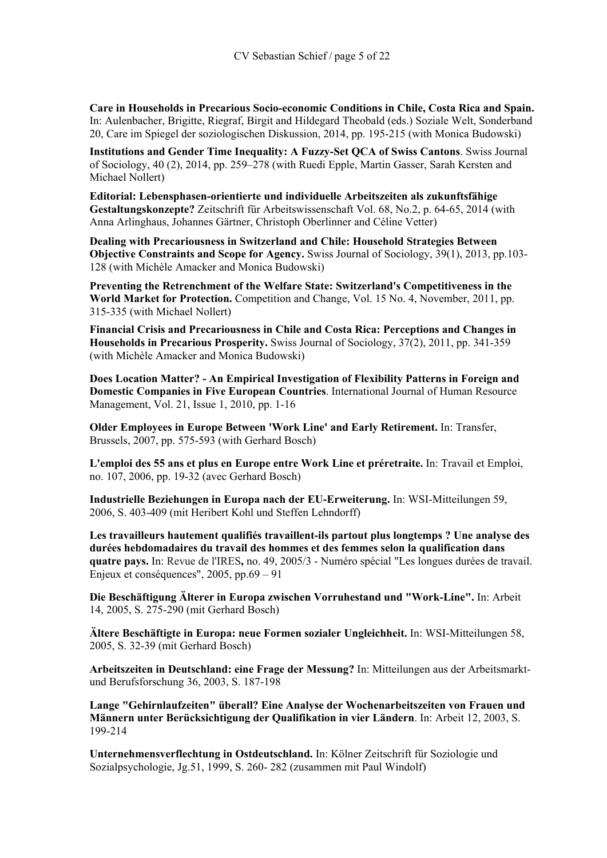**Care in Households in Precarious Socio-economic Conditions in Chile, Costa Rica and Spain.**  In: Aulenbacher, Brigitte, Riegraf, Birgit and Hildegard Theobald (eds.) Soziale Welt, Sonderband 20, Care im Spiegel der soziologischen Diskussion, 2014, pp. 195-215 (with Monica Budowski)

**Institutions and Gender Time Inequality: A Fuzzy-Set QCA of Swiss Cantons**. Swiss Journal of Sociology, 40 (2), 2014, pp. 259–278 (with Ruedi Epple, Martin Gasser, Sarah Kersten and Michael Nollert)

**Editorial: Lebensphasen-orientierte und individuelle Arbeitszeiten als zukunftsfähige Gestaltungskonzepte?** Zeitschrift für Arbeitswissenschaft Vol. 68, No.2, p. 64-65, 2014 (with Anna Arlinghaus, Johannes Gärtner, Christoph Oberlinner and Céline Vetter)

**Dealing with Precariousness in Switzerland and Chile: Household Strategies Between Objective Constraints and Scope for Agency.** Swiss Journal of Sociology, 39(1), 2013, pp.103- 128 (with Michèle Amacker and Monica Budowski)

**Preventing the Retrenchment of the Welfare State: Switzerland's Competitiveness in the World Market for Protection.** Competition and Change, Vol. 15 No. 4, November, 2011, pp. 315-335 (with Michael Nollert)

**Financial Crisis and Precariousness in Chile and Costa Rica: Perceptions and Changes in Households in Precarious Prosperity.** Swiss Journal of Sociology, 37(2), 2011, pp. 341-359 (with Michèle Amacker and Monica Budowski)

**Does Location Matter? - An Empirical Investigation of Flexibility Patterns in Foreign and Domestic Companies in Five European Countries**. International Journal of Human Resource Management, Vol. 21, Issue 1, 2010, pp. 1-16

**Older Employees in Europe Between 'Work Line' and Early Retirement.** In: Transfer, Brussels, 2007, pp. 575-593 (with Gerhard Bosch)

**L'emploi des 55 ans et plus en Europe entre Work Line et préretraite.** In: Travail et Emploi, no. 107, 2006, pp. 19-32 (avec Gerhard Bosch)

**Industrielle Beziehungen in Europa nach der EU-Erweiterung.** In: WSI-Mitteilungen 59, 2006, S. 403-409 (mit Heribert Kohl und Steffen Lehndorff)

**Les travailleurs hautement qualifiés travaillent-ils partout plus longtemps ? Une analyse des durées hebdomadaires du travail des hommes et des femmes selon la qualification dans quatre pays.** In: Revue de l'IRES**,** no. 49, 2005/3 - Numéro spécial "Les longues durées de travail. Enjeux et conséquences", 2005, pp.69 – 91

**Die Beschäftigung Älterer in Europa zwischen Vorruhestand und "Work-Line".** In: Arbeit 14, 2005, S. 275-290 (mit Gerhard Bosch)

**Ältere Beschäftigte in Europa: neue Formen sozialer Ungleichheit.** In: WSI-Mitteilungen 58, 2005, S. 32-39 (mit Gerhard Bosch)

**Arbeitszeiten in Deutschland: eine Frage der Messung?** In: Mitteilungen aus der Arbeitsmarktund Berufsforschung 36, 2003, S. 187-198

**Lange "Gehirnlaufzeiten" überall? Eine Analyse der Wochenarbeitszeiten von Frauen und Männern unter Berücksichtigung der Qualifikation in vier Ländern**. In: Arbeit 12, 2003, S. 199-214

**Unternehmensverflechtung in Ostdeutschland.** In: Kölner Zeitschrift für Soziologie und Sozialpsychologie, Jg.51, 1999, S. 260- 282 (zusammen mit Paul Windolf)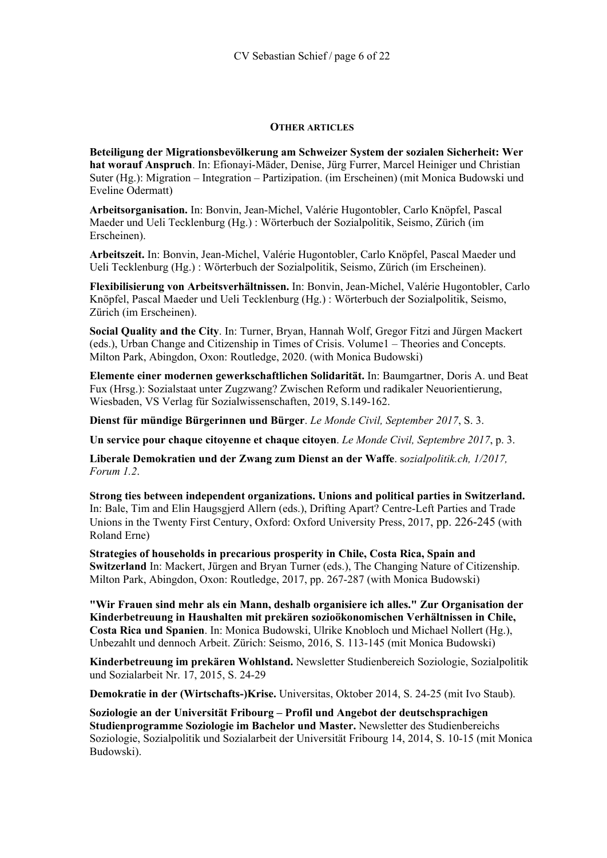# **OTHER ARTICLES**

**Beteiligung der Migrationsbevölkerung am Schweizer System der sozialen Sicherheit: Wer hat worauf Anspruch**. In: Efionayi-Mäder, Denise, Jürg Furrer, Marcel Heiniger und Christian Suter (Hg.): Migration – Integration – Partizipation. (im Erscheinen) (mit Monica Budowski und Eveline Odermatt)

**Arbeitsorganisation.** In: Bonvin, Jean-Michel, Valérie Hugontobler, Carlo Knöpfel, Pascal Maeder und Ueli Tecklenburg (Hg.) : Wörterbuch der Sozialpolitik, Seismo, Zürich (im Erscheinen).

**Arbeitszeit.** In: Bonvin, Jean-Michel, Valérie Hugontobler, Carlo Knöpfel, Pascal Maeder und Ueli Tecklenburg (Hg.) : Wörterbuch der Sozialpolitik, Seismo, Zürich (im Erscheinen).

**Flexibilisierung von Arbeitsverhältnissen.** In: Bonvin, Jean-Michel, Valérie Hugontobler, Carlo Knöpfel, Pascal Maeder und Ueli Tecklenburg (Hg.) : Wörterbuch der Sozialpolitik, Seismo, Zürich (im Erscheinen).

**Social Quality and the City**. In: Turner, Bryan, Hannah Wolf, Gregor Fitzi and Jürgen Mackert (eds.), Urban Change and Citizenship in Times of Crisis. Volume1 – Theories and Concepts. Milton Park, Abingdon, Oxon: Routledge, 2020. (with Monica Budowski)

**Elemente einer modernen gewerkschaftlichen Solidarität.** In: Baumgartner, Doris A. und Beat Fux (Hrsg.): Sozialstaat unter Zugzwang? Zwischen Reform und radikaler Neuorientierung, Wiesbaden, VS Verlag für Sozialwissenschaften, 2019, S.149-162.

**Dienst für mündige Bürgerinnen und Bürger**. *Le Monde Civil, September 2017*, S. 3.

**Un service pour chaque citoyenne et chaque citoyen**. *Le Monde Civil, Septembre 2017*, p. 3.

**Liberale Demokratien und der Zwang zum Dienst an der Waffe**. s*ozialpolitik.ch, 1/2017, Forum 1.2*.

**Strong ties between independent organizations. Unions and political parties in Switzerland.**  In: Bale, Tim and Elin Haugsgjerd Allern (eds.), Drifting Apart? Centre-Left Parties and Trade Unions in the Twenty First Century, Oxford: Oxford University Press, 2017, pp. 226-245 (with Roland Erne)

**Strategies of households in precarious prosperity in Chile, Costa Rica, Spain and Switzerland** In: Mackert, Jürgen and Bryan Turner (eds.), The Changing Nature of Citizenship. Milton Park, Abingdon, Oxon: Routledge, 2017, pp. 267-287 (with Monica Budowski)

**"Wir Frauen sind mehr als ein Mann, deshalb organisiere ich alles." Zur Organisation der Kinderbetreuung in Haushalten mit prekären sozioökonomischen Verhältnissen in Chile, Costa Rica und Spanien**. In: Monica Budowski, Ulrike Knobloch und Michael Nollert (Hg.), Unbezahlt und dennoch Arbeit. Zürich: Seismo, 2016, S. 113-145 (mit Monica Budowski)

**Kinderbetreuung im prekären Wohlstand.** Newsletter Studienbereich Soziologie, Sozialpolitik und Sozialarbeit Nr. 17, 2015, S. 24-29

**Demokratie in der (Wirtschafts-)Krise.** Universitas, Oktober 2014, S. 24-25 (mit Ivo Staub).

**Soziologie an der Universität Fribourg – Profil und Angebot der deutschsprachigen Studienprogramme Soziologie im Bachelor und Master.** Newsletter des Studienbereichs Soziologie, Sozialpolitik und Sozialarbeit der Universität Fribourg 14, 2014, S. 10-15 (mit Monica Budowski).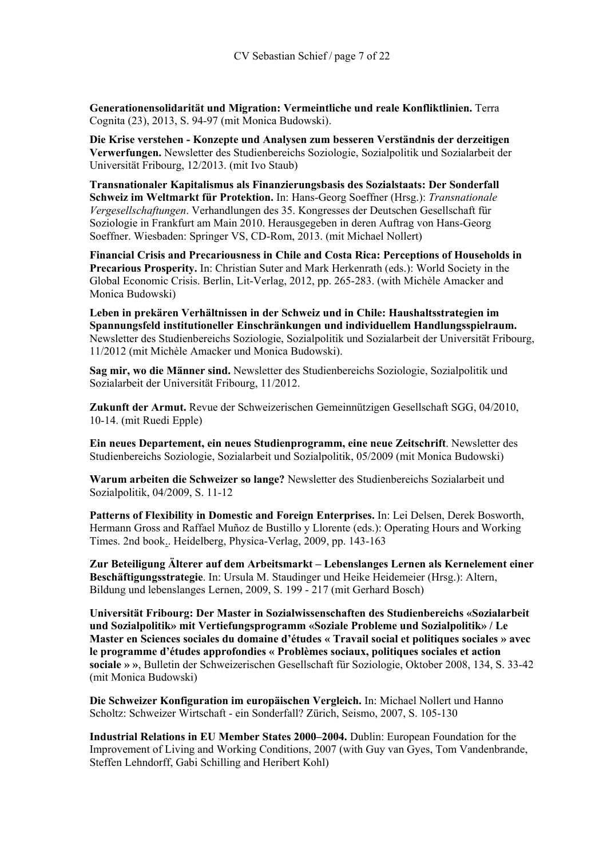**Generationensolidarität und Migration: Vermeintliche und reale Konfliktlinien.** Terra Cognita (23), 2013, S. 94-97 (mit Monica Budowski).

**Die Krise verstehen - Konzepte und Analysen zum besseren Verständnis der derzeitigen Verwerfungen.** Newsletter des Studienbereichs Soziologie, Sozialpolitik und Sozialarbeit der Universität Fribourg, 12/2013. (mit Ivo Staub)

**Transnationaler Kapitalismus als Finanzierungsbasis des Sozialstaats: Der Sonderfall Schweiz im Weltmarkt für Protektion.** In: Hans-Georg Soeffner (Hrsg.): *Transnationale Vergesellschaftungen*. Verhandlungen des 35. Kongresses der Deutschen Gesellschaft für Soziologie in Frankfurt am Main 2010. Herausgegeben in deren Auftrag von Hans-Georg Soeffner. Wiesbaden: Springer VS, CD-Rom, 2013. (mit Michael Nollert)

**Financial Crisis and Precariousness in Chile and Costa Rica: Perceptions of Households in Precarious Prosperity.** In: Christian Suter and Mark Herkenrath (eds.): World Society in the Global Economic Crisis. Berlin, Lit-Verlag, 2012, pp. 265-283. (with Michèle Amacker and Monica Budowski)

**Leben in prekären Verhältnissen in der Schweiz und in Chile: Haushaltsstrategien im Spannungsfeld institutioneller Einschränkungen und individuellem Handlungsspielraum.** Newsletter des Studienbereichs Soziologie, Sozialpolitik und Sozialarbeit der Universität Fribourg, 11/2012 (mit Michèle Amacker und Monica Budowski).

**Sag mir, wo die Männer sind.** Newsletter des Studienbereichs Soziologie, Sozialpolitik und Sozialarbeit der Universität Fribourg, 11/2012.

**Zukunft der Armut.** Revue der Schweizerischen Gemeinnützigen Gesellschaft SGG, 04/2010, 10-14. (mit Ruedi Epple)

**Ein neues Departement, ein neues Studienprogramm, eine neue Zeitschrift**. Newsletter des Studienbereichs Soziologie, Sozialarbeit und Sozialpolitik, 05/2009 (mit Monica Budowski)

**Warum arbeiten die Schweizer so lange?** Newsletter des Studienbereichs Sozialarbeit und Sozialpolitik, 04/2009, S. 11-12

**Patterns of Flexibility in Domestic and Foreign Enterprises.** In: Lei Delsen, Derek Bosworth, Hermann Gross and Raffael Muñoz de Bustillo y Llorente (eds.): Operating Hours and Working Times. 2nd book.. Heidelberg, Physica-Verlag, 2009, pp. 143-163

**Zur Beteiligung Älterer auf dem Arbeitsmarkt – Lebenslanges Lernen als Kernelement einer Beschäftigungsstrategie**. In: Ursula M. Staudinger und Heike Heidemeier (Hrsg.): Altern, Bildung und lebenslanges Lernen, 2009, S. 199 - 217 (mit Gerhard Bosch)

**Universität Fribourg: Der Master in Sozialwissenschaften des Studienbereichs «Sozialarbeit und Sozialpolitik» mit Vertiefungsprogramm «Soziale Probleme und Sozialpolitik» / Le Master en Sciences sociales du domaine d'études « Travail social et politiques sociales » avec le programme d'études approfondies « Problèmes sociaux, politiques sociales et action sociale » »**, Bulletin der Schweizerischen Gesellschaft für Soziologie, Oktober 2008, 134, S. 33-42 (mit Monica Budowski)

**Die Schweizer Konfiguration im europäischen Vergleich.** In: Michael Nollert und Hanno Scholtz: Schweizer Wirtschaft - ein Sonderfall? Zürich, Seismo, 2007, S. 105-130

**Industrial Relations in EU Member States 2000–2004.** Dublin: European Foundation for the Improvement of Living and Working Conditions, 2007 (with Guy van Gyes, Tom Vandenbrande, Steffen Lehndorff, Gabi Schilling and Heribert Kohl)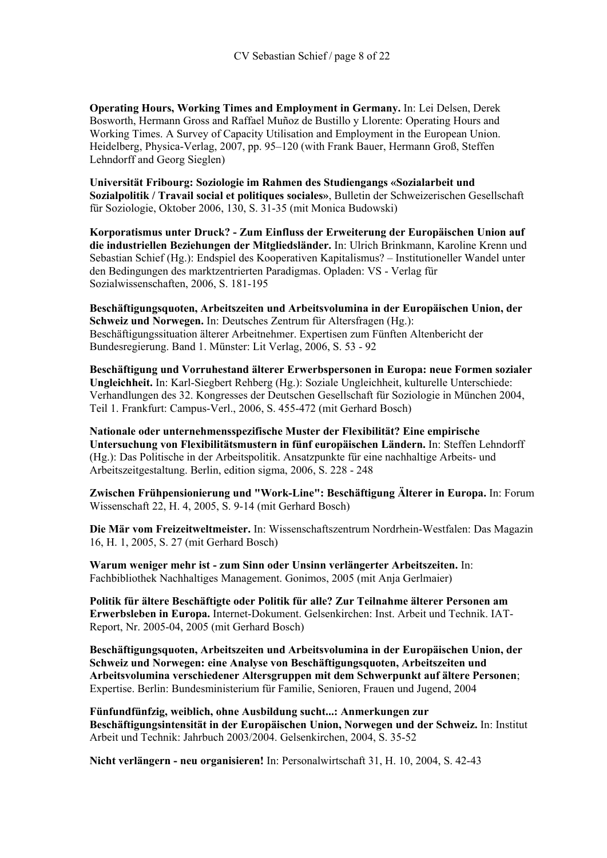**Operating Hours, Working Times and Employment in Germany.** In: Lei Delsen, Derek Bosworth, Hermann Gross and Raffael Muñoz de Bustillo y Llorente: Operating Hours and Working Times. A Survey of Capacity Utilisation and Employment in the European Union. Heidelberg, Physica-Verlag, 2007, pp. 95–120 (with Frank Bauer, Hermann Groß, Steffen Lehndorff and Georg Sieglen)

**Universität Fribourg: Soziologie im Rahmen des Studiengangs «Sozialarbeit und Sozialpolitik / Travail social et politiques sociales»**, Bulletin der Schweizerischen Gesellschaft für Soziologie, Oktober 2006, 130, S. 31-35 (mit Monica Budowski)

**Korporatismus unter Druck? - Zum Einfluss der Erweiterung der Europäischen Union auf die industriellen Beziehungen der Mitgliedsländer.** In: Ulrich Brinkmann, Karoline Krenn und Sebastian Schief (Hg.): Endspiel des Kooperativen Kapitalismus? – Institutioneller Wandel unter den Bedingungen des marktzentrierten Paradigmas. Opladen: VS - Verlag für Sozialwissenschaften, 2006, S. 181-195

**Beschäftigungsquoten, Arbeitszeiten und Arbeitsvolumina in der Europäischen Union, der Schweiz und Norwegen.** In: Deutsches Zentrum für Altersfragen (Hg.): Beschäftigungssituation älterer Arbeitnehmer. Expertisen zum Fünften Altenbericht der Bundesregierung. Band 1. Münster: Lit Verlag, 2006, S. 53 - 92

**Beschäftigung und Vorruhestand älterer Erwerbspersonen in Europa: neue Formen sozialer Ungleichheit.** In: Karl-Siegbert Rehberg (Hg.): Soziale Ungleichheit, kulturelle Unterschiede: Verhandlungen des 32. Kongresses der Deutschen Gesellschaft für Soziologie in München 2004, Teil 1. Frankfurt: Campus-Verl., 2006, S. 455-472 (mit Gerhard Bosch)

**Nationale oder unternehmensspezifische Muster der Flexibilität? Eine empirische Untersuchung von Flexibilitätsmustern in fünf europäischen Ländern.** In: Steffen Lehndorff (Hg.): Das Politische in der Arbeitspolitik. Ansatzpunkte für eine nachhaltige Arbeits- und Arbeitszeitgestaltung. Berlin, edition sigma, 2006, S. 228 - 248

**Zwischen Frühpensionierung und "Work-Line": Beschäftigung Älterer in Europa.** In: Forum Wissenschaft 22, H. 4, 2005, S. 9-14 (mit Gerhard Bosch)

**Die Mär vom Freizeitweltmeister.** In: Wissenschaftszentrum Nordrhein-Westfalen: Das Magazin 16, H. 1, 2005, S. 27 (mit Gerhard Bosch)

**Warum weniger mehr ist - zum Sinn oder Unsinn verlängerter Arbeitszeiten.** In: Fachbibliothek Nachhaltiges Management. Gonimos, 2005 (mit Anja Gerlmaier)

**Politik für ältere Beschäftigte oder Politik für alle? Zur Teilnahme älterer Personen am Erwerbsleben in Europa.** Internet-Dokument. Gelsenkirchen: Inst. Arbeit und Technik. IAT-Report, Nr. 2005-04, 2005 (mit Gerhard Bosch)

**Beschäftigungsquoten, Arbeitszeiten und Arbeitsvolumina in der Europäischen Union, der Schweiz und Norwegen: eine Analyse von Beschäftigungsquoten, Arbeitszeiten und Arbeitsvolumina verschiedener Altersgruppen mit dem Schwerpunkt auf ältere Personen**; Expertise. Berlin: Bundesministerium für Familie, Senioren, Frauen und Jugend, 2004

**Fünfundfünfzig, weiblich, ohne Ausbildung sucht...: Anmerkungen zur Beschäftigungsintensität in der Europäischen Union, Norwegen und der Schweiz.** In: Institut Arbeit und Technik: Jahrbuch 2003/2004. Gelsenkirchen, 2004, S. 35-52

**Nicht verlängern - neu organisieren!** In: Personalwirtschaft 31, H. 10, 2004, S. 42-43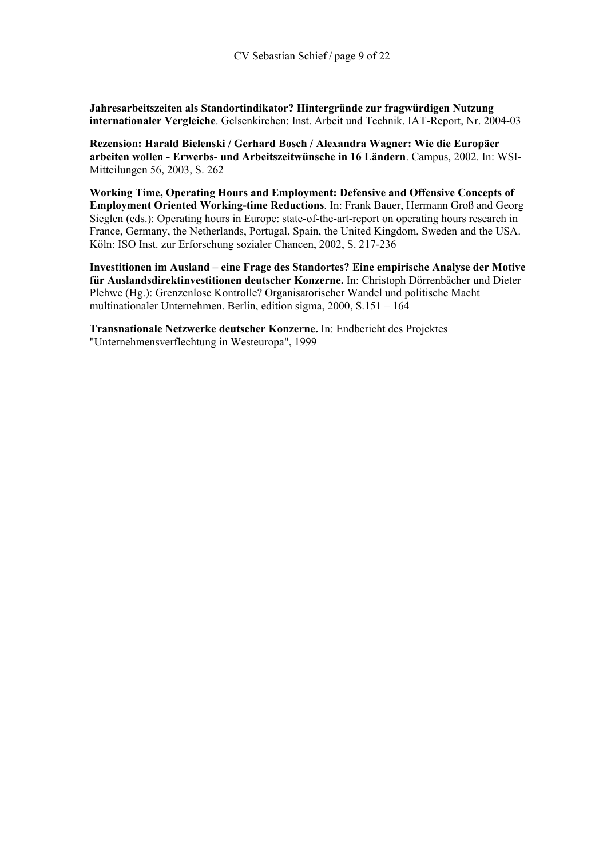**Jahresarbeitszeiten als Standortindikator? Hintergründe zur fragwürdigen Nutzung internationaler Vergleiche**. Gelsenkirchen: Inst. Arbeit und Technik. IAT-Report, Nr. 2004-03

**Rezension: Harald Bielenski / Gerhard Bosch / Alexandra Wagner: Wie die Europäer arbeiten wollen - Erwerbs- und Arbeitszeitwünsche in 16 Ländern**. Campus, 2002. In: WSI-Mitteilungen 56, 2003, S. 262

**Working Time, Operating Hours and Employment: Defensive and Offensive Concepts of Employment Oriented Working-time Reductions**. In: Frank Bauer, Hermann Groß and Georg Sieglen (eds.): Operating hours in Europe: state-of-the-art-report on operating hours research in France, Germany, the Netherlands, Portugal, Spain, the United Kingdom, Sweden and the USA. Köln: ISO Inst. zur Erforschung sozialer Chancen, 2002, S. 217-236

**Investitionen im Ausland – eine Frage des Standortes? Eine empirische Analyse der Motive für Auslandsdirektinvestitionen deutscher Konzerne.** In: Christoph Dörrenbächer und Dieter Plehwe (Hg.): Grenzenlose Kontrolle? Organisatorischer Wandel und politische Macht multinationaler Unternehmen. Berlin, edition sigma, 2000, S.151 – 164

**Transnationale Netzwerke deutscher Konzerne.** In: Endbericht des Projektes "Unternehmensverflechtung in Westeuropa", 1999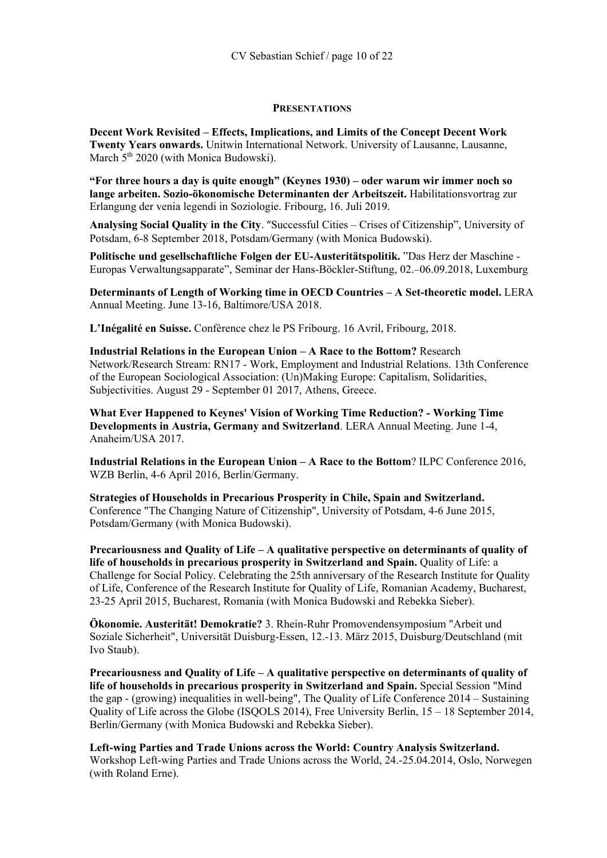## **PRESENTATIONS**

**Decent Work Revisited – Effects, Implications, and Limits of the Concept Decent Work Twenty Years onwards.** Unitwin International Network. University of Lausanne, Lausanne, March  $5<sup>th</sup> 2020$  (with Monica Budowski).

**"For three hours a day is quite enough" (Keynes 1930) – oder warum wir immer noch so lange arbeiten. Sozio-ökonomische Determinanten der Arbeitszeit.** Habilitationsvortrag zur Erlangung der venia legendi in Soziologie. Fribourg, 16. Juli 2019.

**Analysing Social Quality in the City**. "Successful Cities – Crises of Citizenship", University of Potsdam, 6-8 September 2018, Potsdam/Germany (with Monica Budowski).

**Politische und gesellschaftliche Folgen der EU-Austeritätspolitik.** "Das Herz der Maschine - Europas Verwaltungsapparate", Seminar der Hans-Böckler-Stiftung, 02.–06.09.2018, Luxemburg

**Determinants of Length of Working time in OECD Countries – A Set-theoretic model.** LERA Annual Meeting. June 13-16, Baltimore/USA 2018.

**L'Inégalité en Suisse.** Confèrence chez le PS Fribourg. 16 Avril, Fribourg, 2018.

**Industrial Relations in the European Union – A Race to the Bottom?** Research Network/Research Stream: RN17 - Work, Employment and Industrial Relations. 13th Conference of the European Sociological Association: (Un)Making Europe: Capitalism, Solidarities, Subjectivities. August 29 - September 01 2017, Athens, Greece.

**What Ever Happened to Keynes' Vision of Working Time Reduction? - Working Time Developments in Austria, Germany and Switzerland**. LERA Annual Meeting. June 1-4, Anaheim/USA 2017.

**Industrial Relations in the European Union – A Race to the Bottom**? ILPC Conference 2016, WZB Berlin, 4-6 April 2016, Berlin/Germany.

**Strategies of Households in Precarious Prosperity in Chile, Spain and Switzerland.** Conference "The Changing Nature of Citizenship", University of Potsdam, 4-6 June 2015, Potsdam/Germany (with Monica Budowski).

**Precariousness and Quality of Life – A qualitative perspective on determinants of quality of life of households in precarious prosperity in Switzerland and Spain.** Quality of Life: a Challenge for Social Policy. Celebrating the 25th anniversary of the Research Institute for Quality of Life, Conference of the Research Institute for Quality of Life, Romanian Academy, Bucharest, 23-25 April 2015, Bucharest, Romania (with Monica Budowski and Rebekka Sieber).

**Ökonomie. Austerität! Demokratie?** 3. Rhein-Ruhr Promovendensymposium "Arbeit und Soziale Sicherheit", Universität Duisburg-Essen, 12.-13. März 2015, Duisburg/Deutschland (mit Ivo Staub).

**Precariousness and Quality of Life – A qualitative perspective on determinants of quality of life of households in precarious prosperity in Switzerland and Spain.** Special Session "Mind the gap - (growing) inequalities in well-being", The Quality of Life Conference 2014 – Sustaining Quality of Life across the Globe (ISQOLS 2014), Free University Berlin, 15 – 18 September 2014, Berlin/Germany (with Monica Budowski and Rebekka Sieber).

**Left-wing Parties and Trade Unions across the World: Country Analysis Switzerland.** Workshop Left-wing Parties and Trade Unions across the World, 24.-25.04.2014, Oslo, Norwegen (with Roland Erne).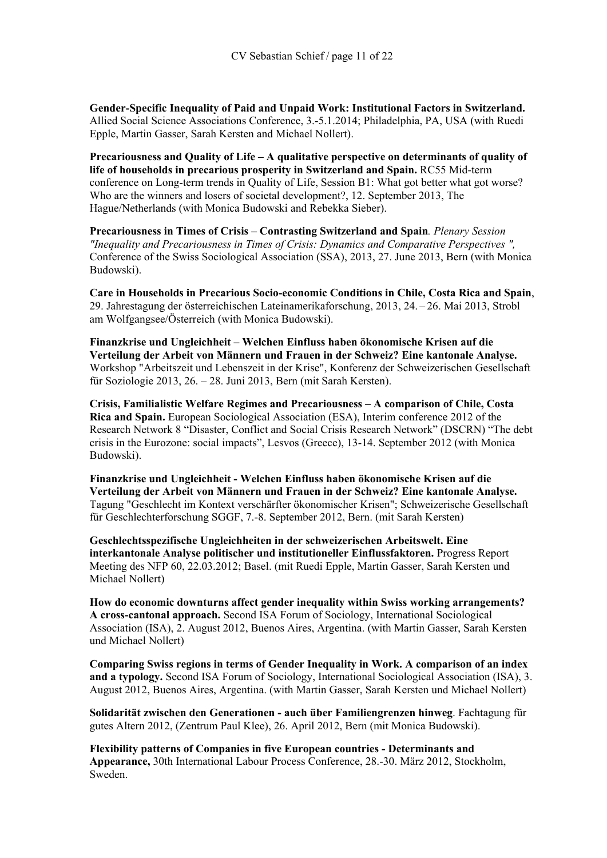**Gender-Specific Inequality of Paid and Unpaid Work: Institutional Factors in Switzerland.** Allied Social Science Associations Conference, 3.-5.1.2014; Philadelphia, PA, USA (with Ruedi Epple, Martin Gasser, Sarah Kersten and Michael Nollert).

**Precariousness and Quality of Life – A qualitative perspective on determinants of quality of life of households in precarious prosperity in Switzerland and Spain.** RC55 Mid-term conference on Long-term trends in Quality of Life, Session B1: What got better what got worse? Who are the winners and losers of societal development?, 12. September 2013, The Hague/Netherlands (with Monica Budowski and Rebekka Sieber).

**Precariousness in Times of Crisis – Contrasting Switzerland and Spain***. Plenary Session "Inequality and Precariousness in Times of Crisis: Dynamics and Comparative Perspectives ",* Conference of the Swiss Sociological Association (SSA), 2013, 27. June 2013, Bern (with Monica Budowski).

**Care in Households in Precarious Socio-economic Conditions in Chile, Costa Rica and Spain**, 29. Jahrestagung der österreichischen Lateinamerikaforschung, 2013, 24. – 26. Mai 2013, Strobl am Wolfgangsee/Österreich (with Monica Budowski).

**Finanzkrise und Ungleichheit – Welchen Einfluss haben ökonomische Krisen auf die Verteilung der Arbeit von Männern und Frauen in der Schweiz? Eine kantonale Analyse.** Workshop "Arbeitszeit und Lebenszeit in der Krise", Konferenz der Schweizerischen Gesellschaft für Soziologie 2013, 26. – 28. Juni 2013, Bern (mit Sarah Kersten).

**Crisis, Familialistic Welfare Regimes and Precariousness – A comparison of Chile, Costa Rica and Spain.** European Sociological Association (ESA), Interim conference 2012 of the Research Network 8 "Disaster, Conflict and Social Crisis Research Network" (DSCRN) "The debt crisis in the Eurozone: social impacts", Lesvos (Greece), 13-14. September 2012 (with Monica Budowski).

**Finanzkrise und Ungleichheit - Welchen Einfluss haben ökonomische Krisen auf die Verteilung der Arbeit von Männern und Frauen in der Schweiz? Eine kantonale Analyse.** Tagung "Geschlecht im Kontext verschärfter ökonomischer Krisen"; Schweizerische Gesellschaft für Geschlechterforschung SGGF, 7.-8. September 2012, Bern. (mit Sarah Kersten)

**Geschlechtsspezifische Ungleichheiten in der schweizerischen Arbeitswelt. Eine interkantonale Analyse politischer und institutioneller Einflussfaktoren.** Progress Report Meeting des NFP 60, 22.03.2012; Basel. (mit Ruedi Epple, Martin Gasser, Sarah Kersten und Michael Nollert)

**How do economic downturns affect gender inequality within Swiss working arrangements? A cross-cantonal approach.** Second ISA Forum of Sociology, International Sociological Association (ISA), 2. August 2012, Buenos Aires, Argentina. (with Martin Gasser, Sarah Kersten und Michael Nollert)

**Comparing Swiss regions in terms of Gender Inequality in Work. A comparison of an index and a typology.** Second ISA Forum of Sociology, International Sociological Association (ISA), 3. August 2012, Buenos Aires, Argentina. (with Martin Gasser, Sarah Kersten und Michael Nollert)

**Solidarität zwischen den Generationen - auch über Familiengrenzen hinweg**. Fachtagung für gutes Altern 2012, (Zentrum Paul Klee), 26. April 2012, Bern (mit Monica Budowski).

**Flexibility patterns of Companies in five European countries - Determinants and Appearance,** 30th International Labour Process Conference, 28.-30. März 2012, Stockholm, Sweden.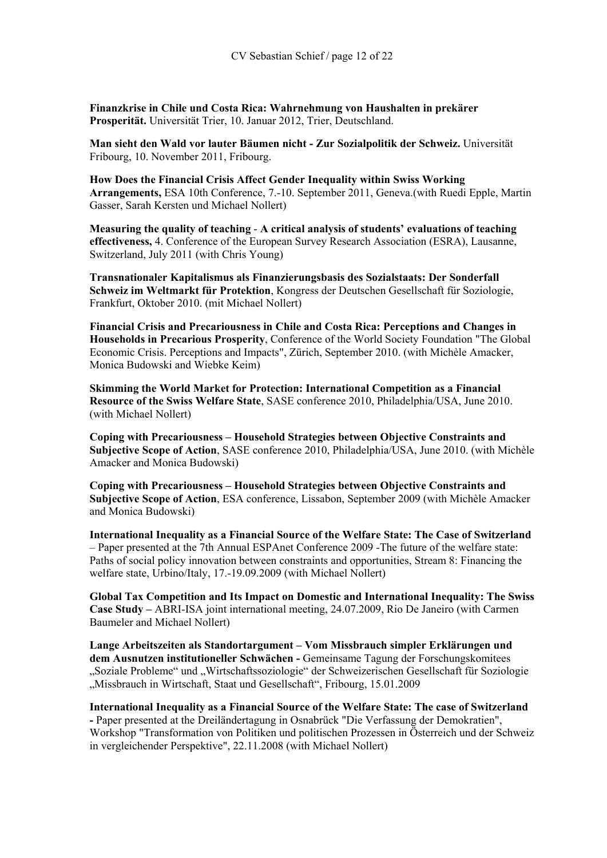**Finanzkrise in Chile und Costa Rica: Wahrnehmung von Haushalten in prekärer Prosperität.** Universität Trier, 10. Januar 2012, Trier, Deutschland.

**Man sieht den Wald vor lauter Bäumen nicht - Zur Sozialpolitik der Schweiz.** Universität Fribourg, 10. November 2011, Fribourg.

**How Does the Financial Crisis Affect Gender Inequality within Swiss Working Arrangements,** ESA 10th Conference, 7.-10. September 2011, Geneva.(with Ruedi Epple, Martin Gasser, Sarah Kersten und Michael Nollert)

**Measuring the quality of teaching** - **A critical analysis of students' evaluations of teaching effectiveness,** 4. Conference of the European Survey Research Association (ESRA), Lausanne, Switzerland, July 2011 (with Chris Young)

**Transnationaler Kapitalismus als Finanzierungsbasis des Sozialstaats: Der Sonderfall Schweiz im Weltmarkt für Protektion**, Kongress der Deutschen Gesellschaft für Soziologie, Frankfurt, Oktober 2010. (mit Michael Nollert)

**Financial Crisis and Precariousness in Chile and Costa Rica: Perceptions and Changes in Households in Precarious Prosperity**, Conference of the World Society Foundation "The Global Economic Crisis. Perceptions and Impacts", Zürich, September 2010. (with Michèle Amacker, Monica Budowski and Wiebke Keim)

**Skimming the World Market for Protection: International Competition as a Financial Resource of the Swiss Welfare State**, SASE conference 2010, Philadelphia/USA, June 2010. (with Michael Nollert)

**Coping with Precariousness – Household Strategies between Objective Constraints and Subjective Scope of Action**, SASE conference 2010, Philadelphia/USA, June 2010. (with Michèle Amacker and Monica Budowski)

**Coping with Precariousness – Household Strategies between Objective Constraints and Subjective Scope of Action**, ESA conference, Lissabon, September 2009 (with Michèle Amacker and Monica Budowski)

**International Inequality as a Financial Source of the Welfare State: The Case of Switzerland**  – Paper presented at the 7th Annual ESPAnet Conference 2009 -The future of the welfare state: Paths of social policy innovation between constraints and opportunities, Stream 8: Financing the welfare state, Urbino/Italy, 17.-19.09.2009 (with Michael Nollert)

**Global Tax Competition and Its Impact on Domestic and International Inequality: The Swiss Case Study –** ABRI-ISA joint international meeting, 24.07.2009, Rio De Janeiro (with Carmen Baumeler and Michael Nollert)

**Lange Arbeitszeiten als Standortargument – Vom Missbrauch simpler Erklärungen und dem Ausnutzen institutioneller Schwächen -** Gemeinsame Tagung der Forschungskomitees "Soziale Probleme" und "Wirtschaftssoziologie" der Schweizerischen Gesellschaft für Soziologie "Missbrauch in Wirtschaft, Staat und Gesellschaft", Fribourg, 15.01.2009

**International Inequality as a Financial Source of the Welfare State: The case of Switzerland -** Paper presented at the Dreiländertagung in Osnabrück "Die Verfassung der Demokratien", Workshop "Transformation von Politiken und politischen Prozessen in Österreich und der Schweiz in vergleichender Perspektive", 22.11.2008 (with Michael Nollert)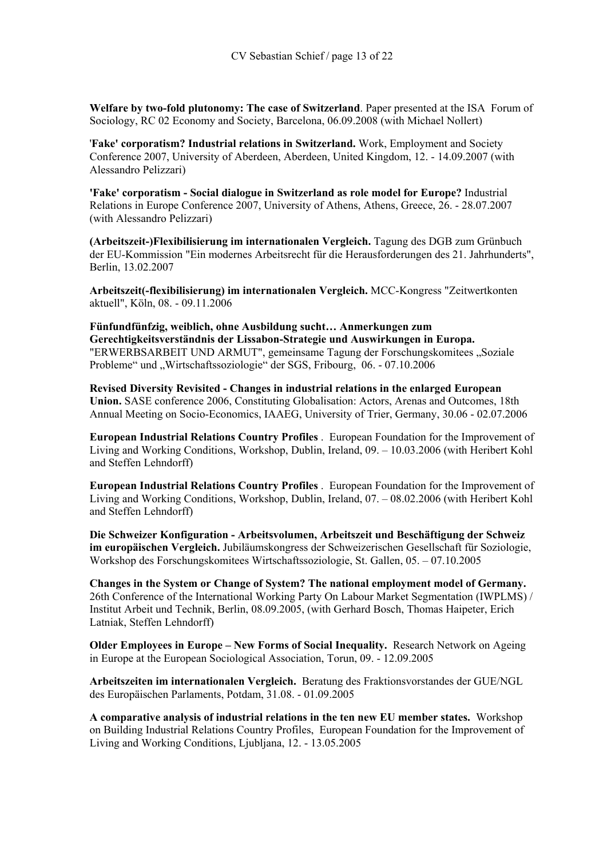**Welfare by two-fold plutonomy: The case of Switzerland**. Paper presented at the ISA Forum of Sociology, RC 02 Economy and Society, Barcelona, 06.09.2008 (with Michael Nollert)

'**Fake' corporatism? Industrial relations in Switzerland.** Work, Employment and Society Conference 2007, University of Aberdeen, Aberdeen, United Kingdom, 12. - 14.09.2007 (with Alessandro Pelizzari)

**'Fake' corporatism - Social dialogue in Switzerland as role model for Europe?** Industrial Relations in Europe Conference 2007, University of Athens, Athens, Greece, 26. - 28.07.2007 (with Alessandro Pelizzari)

**(Arbeitszeit-)Flexibilisierung im internationalen Vergleich.** Tagung des DGB zum Grünbuch der EU-Kommission "Ein modernes Arbeitsrecht für die Herausforderungen des 21. Jahrhunderts", Berlin, 13.02.2007

**Arbeitszeit(-flexibilisierung) im internationalen Vergleich.** MCC-Kongress "Zeitwertkonten aktuell", Köln, 08. - 09.11.2006

**Fünfundfünfzig, weiblich, ohne Ausbildung sucht… Anmerkungen zum Gerechtigkeitsverständnis der Lissabon-Strategie und Auswirkungen in Europa.** "ERWERBSARBEIT UND ARMUT", gemeinsame Tagung der Forschungskomitees "Soziale Probleme" und "Wirtschaftssoziologie" der SGS, Fribourg, 06. - 07.10.2006

**Revised Diversity Revisited - Changes in industrial relations in the enlarged European Union.** SASE conference 2006, Constituting Globalisation: Actors, Arenas and Outcomes, 18th Annual Meeting on Socio-Economics, IAAEG, University of Trier, Germany, 30.06 - 02.07.2006

**European Industrial Relations Country Profiles** . European Foundation for the Improvement of Living and Working Conditions, Workshop, Dublin, Ireland, 09. – 10.03.2006 (with Heribert Kohl and Steffen Lehndorff)

**European Industrial Relations Country Profiles** . European Foundation for the Improvement of Living and Working Conditions, Workshop, Dublin, Ireland, 07. – 08.02.2006 (with Heribert Kohl and Steffen Lehndorff)

**Die Schweizer Konfiguration - Arbeitsvolumen, Arbeitszeit und Beschäftigung der Schweiz im europäischen Vergleich.** Jubiläumskongress der Schweizerischen Gesellschaft für Soziologie, Workshop des Forschungskomitees Wirtschaftssoziologie, St. Gallen, 05. – 07.10.2005

**Changes in the System or Change of System? The national employment model of Germany.** 26th Conference of the International Working Party On Labour Market Segmentation (IWPLMS) / Institut Arbeit und Technik, Berlin, 08.09.2005, (with Gerhard Bosch, Thomas Haipeter, Erich Latniak, Steffen Lehndorff)

**Older Employees in Europe – New Forms of Social Inequality.** Research Network on Ageing in Europe at the European Sociological Association, Torun, 09. - 12.09.2005

**Arbeitszeiten im internationalen Vergleich.** Beratung des Fraktionsvorstandes der GUE/NGL des Europäischen Parlaments, Potdam, 31.08. - 01.09.2005

**A comparative analysis of industrial relations in the ten new EU member states.** Workshop on Building Industrial Relations Country Profiles, European Foundation for the Improvement of Living and Working Conditions, Ljubljana, 12. - 13.05.2005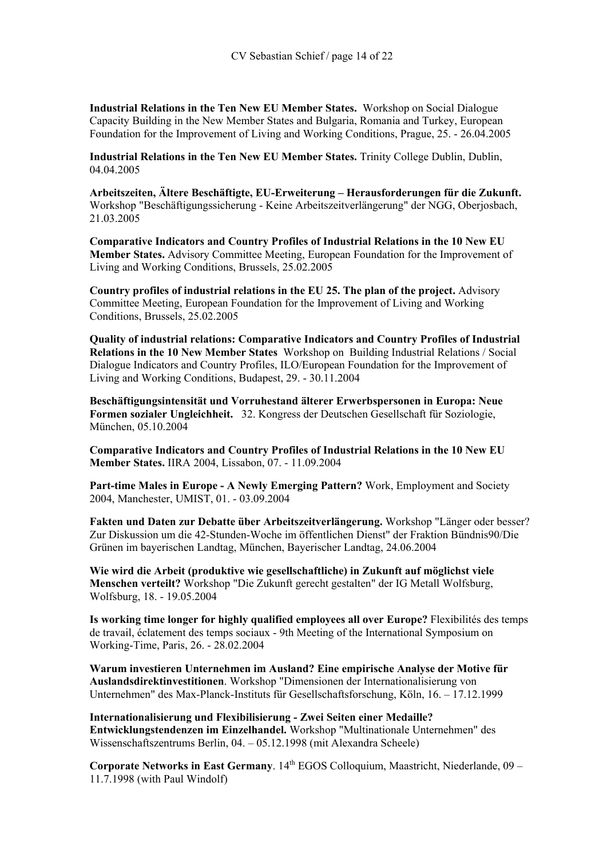**Industrial Relations in the Ten New EU Member States.** Workshop on Social Dialogue Capacity Building in the New Member States and Bulgaria, Romania and Turkey, European Foundation for the Improvement of Living and Working Conditions, Prague, 25. - 26.04.2005

**Industrial Relations in the Ten New EU Member States.** Trinity College Dublin, Dublin, 04.04.2005

**Arbeitszeiten, Ältere Beschäftigte, EU-Erweiterung – Herausforderungen für die Zukunft.**  Workshop "Beschäftigungssicherung - Keine Arbeitszeitverlängerung" der NGG, Oberjosbach, 21.03.2005

**Comparative Indicators and Country Profiles of Industrial Relations in the 10 New EU Member States.** Advisory Committee Meeting, European Foundation for the Improvement of Living and Working Conditions, Brussels, 25.02.2005

**Country profiles of industrial relations in the EU 25. The plan of the project.** Advisory Committee Meeting, European Foundation for the Improvement of Living and Working Conditions, Brussels, 25.02.2005

**Quality of industrial relations: Comparative Indicators and Country Profiles of Industrial Relations in the 10 New Member States** Workshop on Building Industrial Relations / Social Dialogue Indicators and Country Profiles, ILO/European Foundation for the Improvement of Living and Working Conditions, Budapest, 29. - 30.11.2004

**Beschäftigungsintensität und Vorruhestand älterer Erwerbspersonen in Europa: Neue Formen sozialer Ungleichheit.** 32. Kongress der Deutschen Gesellschaft für Soziologie, München, 05.10.2004

**Comparative Indicators and Country Profiles of Industrial Relations in the 10 New EU Member States.** IIRA 2004, Lissabon, 07. - 11.09.2004

**Part-time Males in Europe - A Newly Emerging Pattern?** Work, Employment and Society 2004, Manchester, UMIST, 01. - 03.09.2004

**Fakten und Daten zur Debatte über Arbeitszeitverlängerung.** Workshop "Länger oder besser? Zur Diskussion um die 42-Stunden-Woche im öffentlichen Dienst" der Fraktion Bündnis90/Die Grünen im bayerischen Landtag, München, Bayerischer Landtag, 24.06.2004

**Wie wird die Arbeit (produktive wie gesellschaftliche) in Zukunft auf möglichst viele Menschen verteilt?** Workshop "Die Zukunft gerecht gestalten" der IG Metall Wolfsburg, Wolfsburg, 18. - 19.05.2004

**Is working time longer for highly qualified employees all over Europe?** Flexibilités des temps de travail, éclatement des temps sociaux - 9th Meeting of the International Symposium on Working-Time, Paris, 26. - 28.02.2004

**Warum investieren Unternehmen im Ausland? Eine empirische Analyse der Motive für Auslandsdirektinvestitionen**. Workshop "Dimensionen der Internationalisierung von Unternehmen" des Max-Planck-Instituts für Gesellschaftsforschung, Köln, 16. – 17.12.1999

**Internationalisierung und Flexibilisierung - Zwei Seiten einer Medaille? Entwicklungstendenzen im Einzelhandel.** Workshop "Multinationale Unternehmen" des Wissenschaftszentrums Berlin, 04. – 05.12.1998 (mit Alexandra Scheele)

**Corporate Networks in East Germany.** 14<sup>th</sup> EGOS Colloquium, Maastricht, Niederlande, 09 – 11.7.1998 (with Paul Windolf)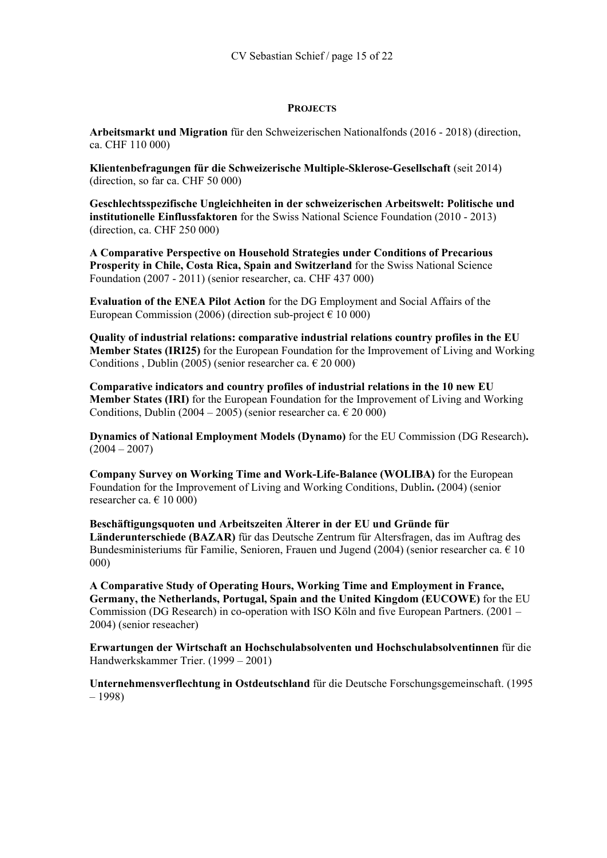# **PROJECTS**

**Arbeitsmarkt und Migration** für den Schweizerischen Nationalfonds (2016 - 2018) (direction, ca. CHF 110 000)

**Klientenbefragungen für die Schweizerische Multiple-Sklerose-Gesellschaft** (seit 2014) (direction, so far ca. CHF 50 000)

**Geschlechtsspezifische Ungleichheiten in der schweizerischen Arbeitswelt: Politische und institutionelle Einflussfaktoren** for the Swiss National Science Foundation (2010 - 2013) (direction, ca. CHF 250 000)

**A Comparative Perspective on Household Strategies under Conditions of Precarious Prosperity in Chile, Costa Rica, Spain and Switzerland** for the Swiss National Science Foundation (2007 - 2011) (senior researcher, ca. CHF 437 000)

**Evaluation of the ENEA Pilot Action** for the DG Employment and Social Affairs of the European Commission (2006) (direction sub-project  $\epsilon$  10 000)

**Quality of industrial relations: comparative industrial relations country profiles in the EU Member States (IRI25)** for the European Foundation for the Improvement of Living and Working Conditions , Dublin (2005) (senior researcher ca.  $\in$  20 000)

**Comparative indicators and country profiles of industrial relations in the 10 new EU Member States (IRI)** for the European Foundation for the Improvement of Living and Working Conditions, Dublin (2004 – 2005) (senior researcher ca.  $\in$  20 000)

**Dynamics of National Employment Models (Dynamo)** for the EU Commission (DG Research)**.**   $(2004 - 2007)$ 

**Company Survey on Working Time and Work-Life-Balance (WOLIBA)** for the European Foundation for the Improvement of Living and Working Conditions, Dublin**.** (2004) (senior researcher ca.  $\in$  10 000)

**Beschäftigungsquoten und Arbeitszeiten Älterer in der EU und Gründe für Länderunterschiede (BAZAR)** für das Deutsche Zentrum für Altersfragen, das im Auftrag des Bundesministeriums für Familie, Senioren, Frauen und Jugend (2004) (senior researcher ca.  $\epsilon$  10 000)

**A Comparative Study of Operating Hours, Working Time and Employment in France, Germany, the Netherlands, Portugal, Spain and the United Kingdom (EUCOWE)** for the EU Commission (DG Research) in co-operation with ISO Köln and five European Partners. (2001 – 2004) (senior reseacher)

**Erwartungen der Wirtschaft an Hochschulabsolventen und Hochschulabsolventinnen** für die Handwerkskammer Trier. (1999 – 2001)

**Unternehmensverflechtung in Ostdeutschland** für die Deutsche Forschungsgemeinschaft. (1995 – 1998)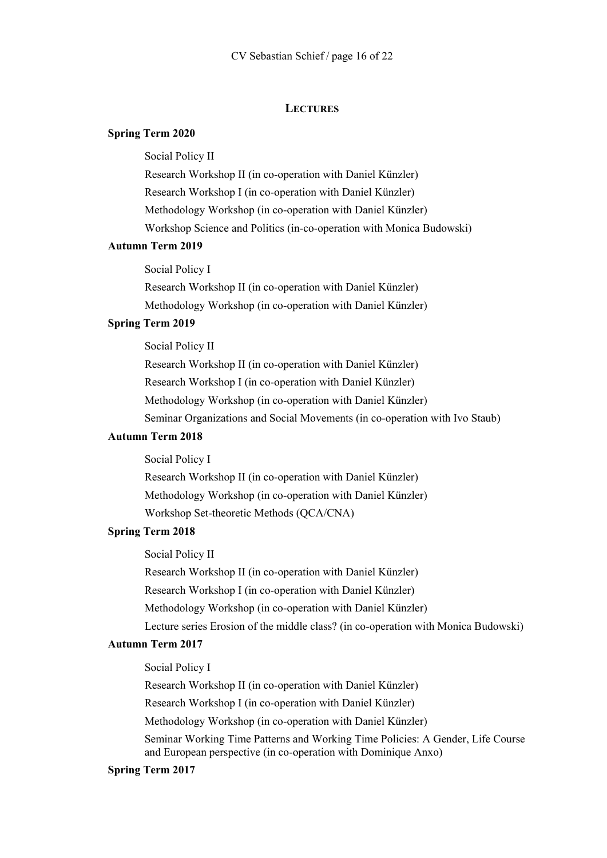### **LECTURES**

# **Spring Term 2020**

Social Policy II

Research Workshop II (in co-operation with Daniel Künzler) Research Workshop I (in co-operation with Daniel Künzler) Methodology Workshop (in co-operation with Daniel Künzler) Workshop Science and Politics (in-co-operation with Monica Budowski)

#### **Autumn Term 2019**

Social Policy I

Research Workshop II (in co-operation with Daniel Künzler) Methodology Workshop (in co-operation with Daniel Künzler)

# **Spring Term 2019**

Social Policy II

Research Workshop II (in co-operation with Daniel Künzler) Research Workshop I (in co-operation with Daniel Künzler) Methodology Workshop (in co-operation with Daniel Künzler) Seminar Organizations and Social Movements (in co-operation with Ivo Staub)

# **Autumn Term 2018**

Social Policy I

Research Workshop II (in co-operation with Daniel Künzler) Methodology Workshop (in co-operation with Daniel Künzler) Workshop Set-theoretic Methods (QCA/CNA)

# **Spring Term 2018**

Social Policy II

Research Workshop II (in co-operation with Daniel Künzler)

Research Workshop I (in co-operation with Daniel Künzler)

Methodology Workshop (in co-operation with Daniel Künzler)

Lecture series Erosion of the middle class? (in co-operation with Monica Budowski)

### **Autumn Term 2017**

Social Policy I

Research Workshop II (in co-operation with Daniel Künzler)

Research Workshop I (in co-operation with Daniel Künzler)

Methodology Workshop (in co-operation with Daniel Künzler)

Seminar Working Time Patterns and Working Time Policies: A Gender, Life Course and European perspective (in co-operation with Dominique Anxo)

#### **Spring Term 2017**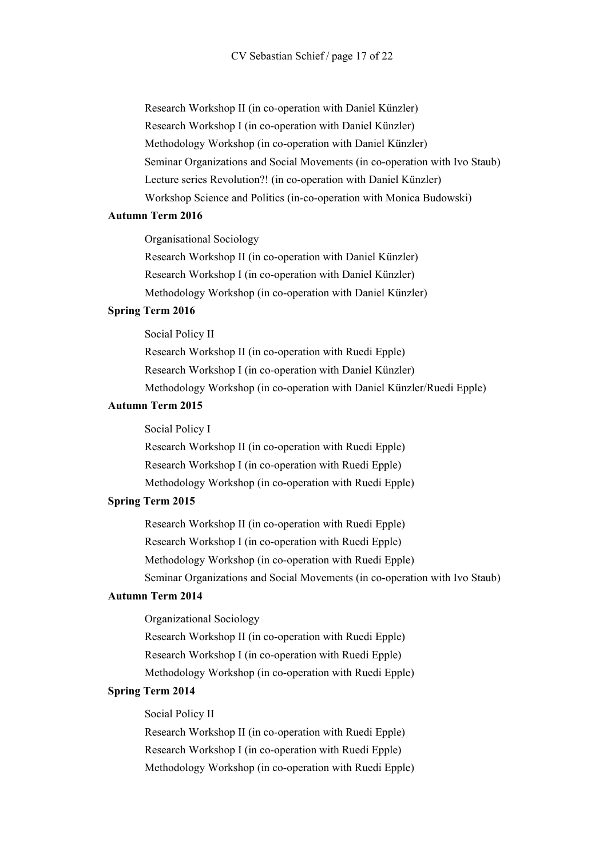Research Workshop II (in co-operation with Daniel Künzler) Research Workshop I (in co-operation with Daniel Künzler) Methodology Workshop (in co-operation with Daniel Künzler) Seminar Organizations and Social Movements (in co-operation with Ivo Staub) Lecture series Revolution?! (in co-operation with Daniel Künzler) Workshop Science and Politics (in-co-operation with Monica Budowski)

#### **Autumn Term 2016**

Organisational Sociology Research Workshop II (in co-operation with Daniel Künzler) Research Workshop I (in co-operation with Daniel Künzler) Methodology Workshop (in co-operation with Daniel Künzler)

#### **Spring Term 2016**

Social Policy II

Research Workshop II (in co-operation with Ruedi Epple) Research Workshop I (in co-operation with Daniel Künzler) Methodology Workshop (in co-operation with Daniel Künzler/Ruedi Epple)

#### **Autumn Term 2015**

Social Policy I Research Workshop II (in co-operation with Ruedi Epple) Research Workshop I (in co-operation with Ruedi Epple) Methodology Workshop (in co-operation with Ruedi Epple)

#### **Spring Term 2015**

Research Workshop II (in co-operation with Ruedi Epple) Research Workshop I (in co-operation with Ruedi Epple) Methodology Workshop (in co-operation with Ruedi Epple) Seminar Organizations and Social Movements (in co-operation with Ivo Staub)

# **Autumn Term 2014**

Organizational Sociology Research Workshop II (in co-operation with Ruedi Epple) Research Workshop I (in co-operation with Ruedi Epple) Methodology Workshop (in co-operation with Ruedi Epple)

# **Spring Term 2014**

Social Policy II

Research Workshop II (in co-operation with Ruedi Epple) Research Workshop I (in co-operation with Ruedi Epple) Methodology Workshop (in co-operation with Ruedi Epple)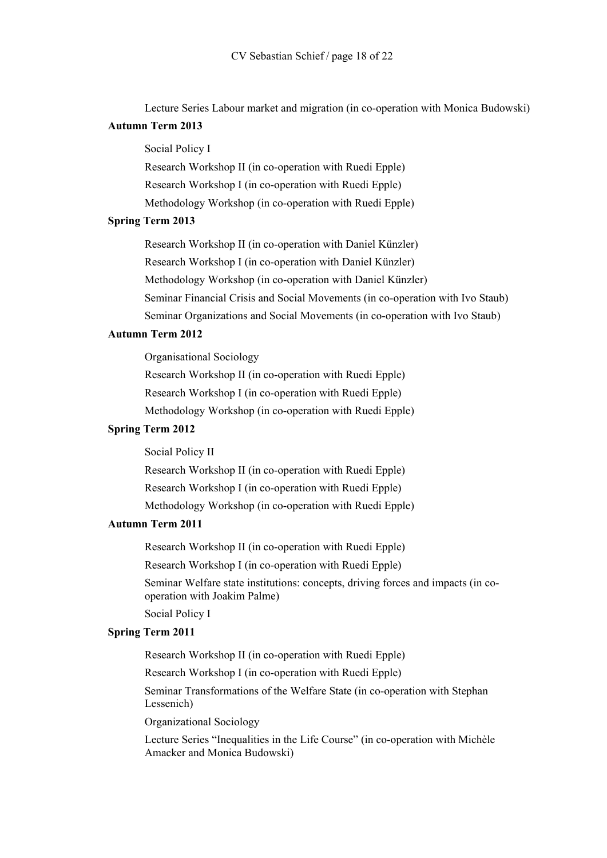Lecture Series Labour market and migration (in co-operation with Monica Budowski)

# **Autumn Term 2013**

Social Policy I

Research Workshop II (in co-operation with Ruedi Epple) Research Workshop I (in co-operation with Ruedi Epple)

Methodology Workshop (in co-operation with Ruedi Epple)

# **Spring Term 2013**

Research Workshop II (in co-operation with Daniel Künzler) Research Workshop I (in co-operation with Daniel Künzler) Methodology Workshop (in co-operation with Daniel Künzler)

Seminar Financial Crisis and Social Movements (in co-operation with Ivo Staub)

Seminar Organizations and Social Movements (in co-operation with Ivo Staub)

# **Autumn Term 2012**

Organisational Sociology Research Workshop II (in co-operation with Ruedi Epple) Research Workshop I (in co-operation with Ruedi Epple) Methodology Workshop (in co-operation with Ruedi Epple)

# **Spring Term 2012**

Social Policy II

Research Workshop II (in co-operation with Ruedi Epple) Research Workshop I (in co-operation with Ruedi Epple) Methodology Workshop (in co-operation with Ruedi Epple)

# **Autumn Term 2011**

Research Workshop II (in co-operation with Ruedi Epple)

Research Workshop I (in co-operation with Ruedi Epple)

Seminar Welfare state institutions: concepts, driving forces and impacts (in cooperation with Joakim Palme)

Social Policy I

## **Spring Term 2011**

Research Workshop II (in co-operation with Ruedi Epple)

Research Workshop I (in co-operation with Ruedi Epple)

Seminar Transformations of the Welfare State (in co-operation with Stephan Lessenich)

Organizational Sociology

Lecture Series "Inequalities in the Life Course" (in co-operation with Michèle Amacker and Monica Budowski)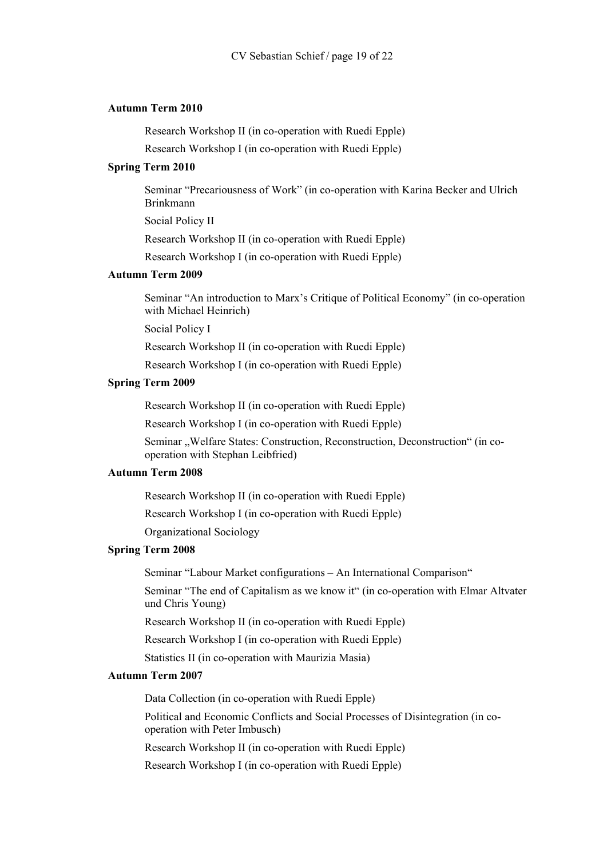### **Autumn Term 2010**

Research Workshop II (in co-operation with Ruedi Epple)

Research Workshop I (in co-operation with Ruedi Epple)

# **Spring Term 2010**

Seminar "Precariousness of Work" (in co-operation with Karina Becker and Ulrich Brinkmann

Social Policy II

Research Workshop II (in co-operation with Ruedi Epple)

Research Workshop I (in co-operation with Ruedi Epple)

# **Autumn Term 2009**

Seminar "An introduction to Marx's Critique of Political Economy" (in co-operation with Michael Heinrich)

Social Policy I

Research Workshop II (in co-operation with Ruedi Epple)

Research Workshop I (in co-operation with Ruedi Epple)

#### **Spring Term 2009**

Research Workshop II (in co-operation with Ruedi Epple)

Research Workshop I (in co-operation with Ruedi Epple)

Seminar "Welfare States: Construction, Reconstruction, Deconstruction" (in cooperation with Stephan Leibfried)

#### **Autumn Term 2008**

Research Workshop II (in co-operation with Ruedi Epple)

Research Workshop I (in co-operation with Ruedi Epple)

Organizational Sociology

#### **Spring Term 2008**

Seminar "Labour Market configurations – An International Comparison"

Seminar "The end of Capitalism as we know it" (in co-operation with Elmar Altvater und Chris Young)

Research Workshop II (in co-operation with Ruedi Epple)

Research Workshop I (in co-operation with Ruedi Epple)

Statistics II (in co-operation with Maurizia Masia)

# **Autumn Term 2007**

Data Collection (in co-operation with Ruedi Epple)

Political and Economic Conflicts and Social Processes of Disintegration (in cooperation with Peter Imbusch)

Research Workshop II (in co-operation with Ruedi Epple)

Research Workshop I (in co-operation with Ruedi Epple)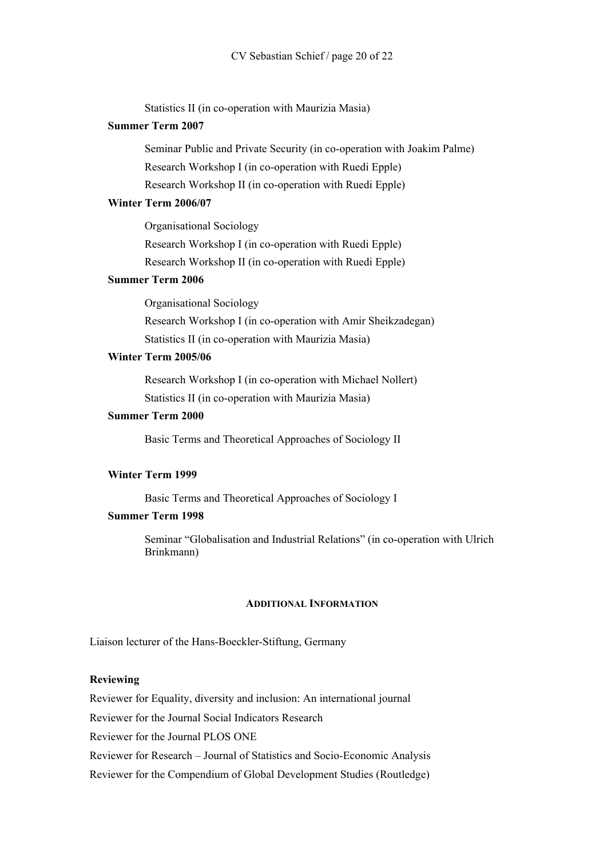Statistics II (in co-operation with Maurizia Masia)

# **Summer Term 2007**

Seminar Public and Private Security (in co-operation with Joakim Palme) Research Workshop I (in co-operation with Ruedi Epple) Research Workshop II (in co-operation with Ruedi Epple)

# **Winter Term 2006/07**

Organisational Sociology Research Workshop I (in co-operation with Ruedi Epple) Research Workshop II (in co-operation with Ruedi Epple)

## **Summer Term 2006**

Organisational Sociology Research Workshop I (in co-operation with Amir Sheikzadegan) Statistics II (in co-operation with Maurizia Masia)

# **Winter Term 2005/06**

Research Workshop I (in co-operation with Michael Nollert) Statistics II (in co-operation with Maurizia Masia)

### **Summer Term 2000**

Basic Terms and Theoretical Approaches of Sociology II

# **Winter Term 1999**

Basic Terms and Theoretical Approaches of Sociology I

# **Summer Term 1998**

Seminar "Globalisation and Industrial Relations" (in co-operation with Ulrich Brinkmann)

#### **ADDITIONAL INFORMATION**

Liaison lecturer of the Hans-Boeckler-Stiftung, Germany

## **Reviewing**

Reviewer for Equality, diversity and inclusion: An international journal

Reviewer for the Journal Social Indicators Research

Reviewer for the Journal PLOS ONE

Reviewer for Research – Journal of Statistics and Socio-Economic Analysis

Reviewer for the Compendium of Global Development Studies (Routledge)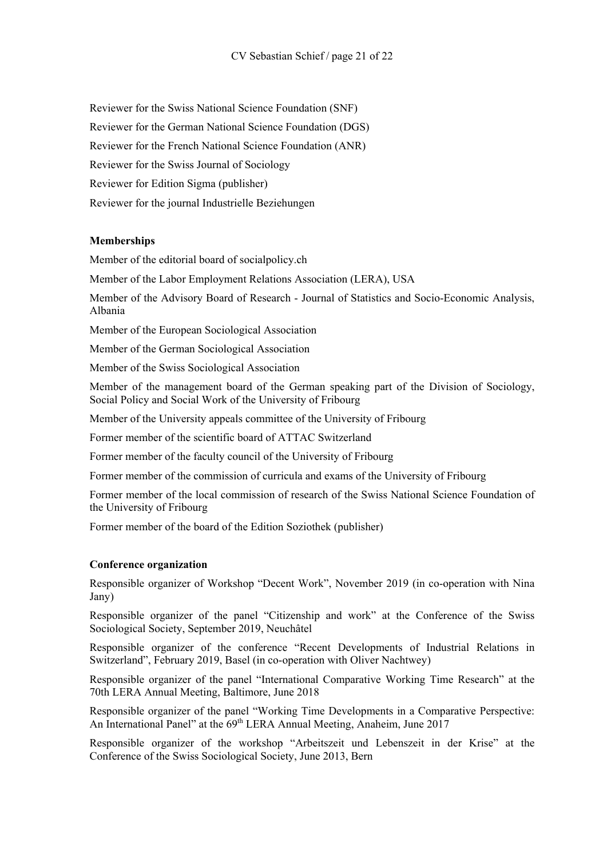Reviewer for the Swiss National Science Foundation (SNF)

Reviewer for the German National Science Foundation (DGS)

Reviewer for the French National Science Foundation (ANR)

Reviewer for the Swiss Journal of Sociology

Reviewer for Edition Sigma (publisher)

Reviewer for the journal Industrielle Beziehungen

# **Memberships**

Member of the editorial board of socialpolicy.ch

Member of the Labor Employment Relations Association (LERA), USA

Member of the Advisory Board of Research - Journal of Statistics and Socio-Economic Analysis, Albania

Member of the European Sociological Association

Member of the German Sociological Association

Member of the Swiss Sociological Association

Member of the management board of the German speaking part of the Division of Sociology, Social Policy and Social Work of the University of Fribourg

Member of the University appeals committee of the University of Fribourg

Former member of the scientific board of ATTAC Switzerland

Former member of the faculty council of the University of Fribourg

Former member of the commission of curricula and exams of the University of Fribourg

Former member of the local commission of research of the Swiss National Science Foundation of the University of Fribourg

Former member of the board of the Edition Soziothek (publisher)

# **Conference organization**

Responsible organizer of Workshop "Decent Work", November 2019 (in co-operation with Nina Jany)

Responsible organizer of the panel "Citizenship and work" at the Conference of the Swiss Sociological Society, September 2019, Neuchâtel

Responsible organizer of the conference "Recent Developments of Industrial Relations in Switzerland", February 2019, Basel (in co-operation with Oliver Nachtwey)

Responsible organizer of the panel "International Comparative Working Time Research" at the 70th LERA Annual Meeting, Baltimore, June 2018

Responsible organizer of the panel "Working Time Developments in a Comparative Perspective: An International Panel" at the 69<sup>th</sup> LERA Annual Meeting, Anaheim, June 2017

Responsible organizer of the workshop "Arbeitszeit und Lebenszeit in der Krise" at the Conference of the Swiss Sociological Society, June 2013, Bern